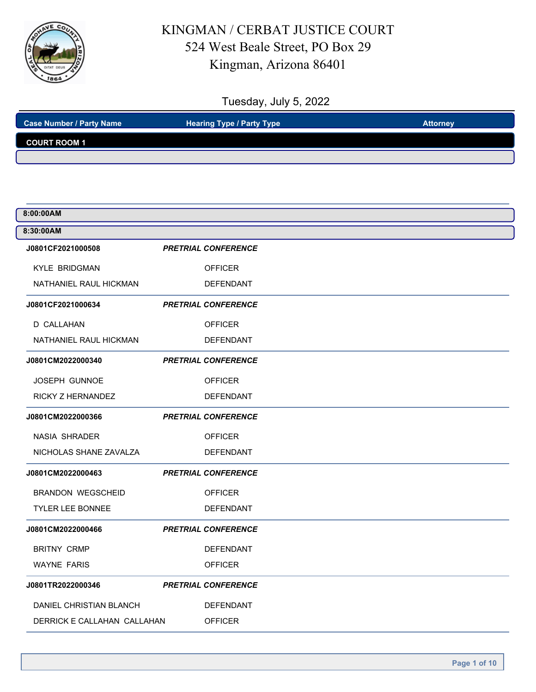

| <b>Case Number / Party Name</b> | <b>Hearing Type / Party Type</b> | <b>Attorney</b> |
|---------------------------------|----------------------------------|-----------------|
| <b>COURT ROOM 1</b>             |                                  |                 |
|                                 |                                  |                 |

| 8:00:00AM                   |                            |
|-----------------------------|----------------------------|
| 8:30:00AM                   |                            |
| J0801CF2021000508           | <b>PRETRIAL CONFERENCE</b> |
| <b>KYLE BRIDGMAN</b>        | <b>OFFICER</b>             |
| NATHANIEL RAUL HICKMAN      | DEFENDANT                  |
| J0801CF2021000634           | <b>PRETRIAL CONFERENCE</b> |
| D CALLAHAN                  | <b>OFFICER</b>             |
| NATHANIEL RAUL HICKMAN      | <b>DEFENDANT</b>           |
| J0801CM2022000340           | <b>PRETRIAL CONFERENCE</b> |
| <b>JOSEPH GUNNOE</b>        | <b>OFFICER</b>             |
| RICKY Z HERNANDEZ           | <b>DEFENDANT</b>           |
| J0801CM2022000366           | <b>PRETRIAL CONFERENCE</b> |
| <b>NASIA SHRADER</b>        | <b>OFFICER</b>             |
| NICHOLAS SHANE ZAVALZA      | DEFENDANT                  |
| J0801CM2022000463           | <b>PRETRIAL CONFERENCE</b> |
| <b>BRANDON WEGSCHEID</b>    | <b>OFFICER</b>             |
| <b>TYLER LEE BONNEE</b>     | <b>DEFENDANT</b>           |
| J0801CM2022000466           | <b>PRETRIAL CONFERENCE</b> |
| <b>BRITNY CRMP</b>          | <b>DEFENDANT</b>           |
| <b>WAYNE FARIS</b>          | <b>OFFICER</b>             |
| J0801TR2022000346           | <b>PRETRIAL CONFERENCE</b> |
| DANIEL CHRISTIAN BLANCH     | <b>DEFENDANT</b>           |
| DERRICK E CALLAHAN CALLAHAN | <b>OFFICER</b>             |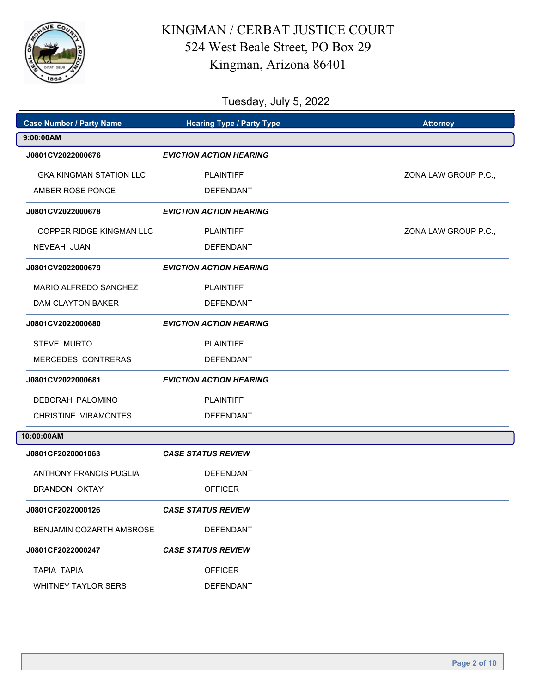

| <b>Case Number / Party Name</b> | <b>Hearing Type / Party Type</b><br><b>Attorney</b> |                      |
|---------------------------------|-----------------------------------------------------|----------------------|
| 9:00:00AM                       |                                                     |                      |
| J0801CV2022000676               | <b>EVICTION ACTION HEARING</b>                      |                      |
| <b>GKA KINGMAN STATION LLC</b>  | <b>PLAINTIFF</b>                                    | ZONA LAW GROUP P.C., |
| AMBER ROSE PONCE                | <b>DEFENDANT</b>                                    |                      |
| J0801CV2022000678               | <b>EVICTION ACTION HEARING</b>                      |                      |
| COPPER RIDGE KINGMAN LLC        | <b>PLAINTIFF</b>                                    | ZONA LAW GROUP P.C., |
| NEVEAH JUAN                     | <b>DEFENDANT</b>                                    |                      |
| J0801CV2022000679               | <b>EVICTION ACTION HEARING</b>                      |                      |
| MARIO ALFREDO SANCHEZ           | <b>PLAINTIFF</b>                                    |                      |
| <b>DAM CLAYTON BAKER</b>        | <b>DEFENDANT</b>                                    |                      |
| J0801CV2022000680               | <b>EVICTION ACTION HEARING</b>                      |                      |
| <b>STEVE MURTO</b>              | <b>PLAINTIFF</b>                                    |                      |
| MERCEDES CONTRERAS              | <b>DEFENDANT</b>                                    |                      |
| J0801CV2022000681               | <b>EVICTION ACTION HEARING</b>                      |                      |
| DEBORAH PALOMINO                | <b>PLAINTIFF</b>                                    |                      |
| <b>CHRISTINE VIRAMONTES</b>     | <b>DEFENDANT</b>                                    |                      |
| 10:00:00AM                      |                                                     |                      |
| J0801CF2020001063               | <b>CASE STATUS REVIEW</b>                           |                      |
| ANTHONY FRANCIS PUGLIA          | <b>DEFENDANT</b>                                    |                      |
| <b>BRANDON OKTAY</b>            | <b>OFFICER</b>                                      |                      |
| J0801CF2022000126               | <b>CASE STATUS REVIEW</b>                           |                      |
| BENJAMIN COZARTH AMBROSE        | <b>DEFENDANT</b>                                    |                      |
| J0801CF2022000247               | <b>CASE STATUS REVIEW</b>                           |                      |
| <b>TAPIA TAPIA</b>              | <b>OFFICER</b>                                      |                      |
| <b>WHITNEY TAYLOR SERS</b>      | <b>DEFENDANT</b>                                    |                      |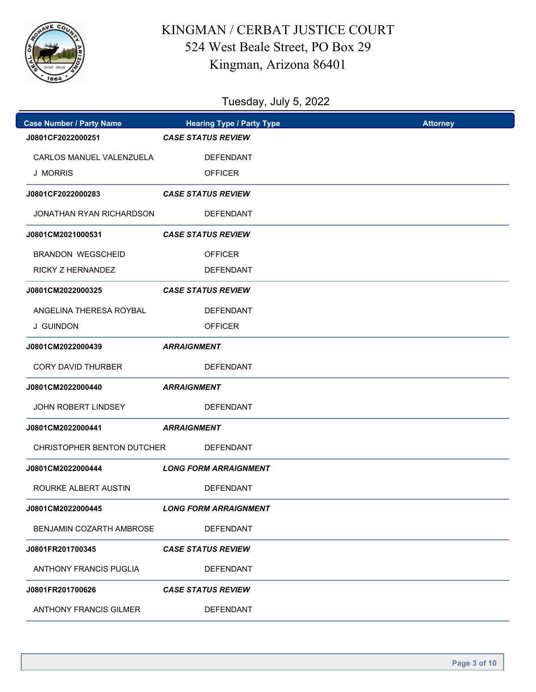

| <b>Case Number / Party Name</b> | <b>Hearing Type / Party Type</b> | <b>Attorney</b> |
|---------------------------------|----------------------------------|-----------------|
| J0801CF2022000251               | <b>CASE STATUS REVIEW</b>        |                 |
| CARLOS MANUEL VALENZUELA        | <b>DEFENDANT</b>                 |                 |
| <b>J MORRIS</b>                 | <b>OFFICER</b>                   |                 |
| J0801CF2022000283               | <b>CASE STATUS REVIEW</b>        |                 |
| JONATHAN RYAN RICHARDSON        | <b>DEFENDANT</b>                 |                 |
| J0801CM2021000531               | <b>CASE STATUS REVIEW</b>        |                 |
| <b>BRANDON WEGSCHEID</b>        | <b>OFFICER</b>                   |                 |
| <b>RICKY Z HERNANDEZ</b>        | <b>DEFENDANT</b>                 |                 |
| J0801CM2022000325               | <b>CASE STATUS REVIEW</b>        |                 |
| ANGELINA THERESA ROYBAL         | <b>DEFENDANT</b>                 |                 |
| <b>J GUINDON</b>                | <b>OFFICER</b>                   |                 |
| J0801CM2022000439               | <b>ARRAIGNMENT</b>               |                 |
| <b>CORY DAVID THURBER</b>       | <b>DEFENDANT</b>                 |                 |
| J0801CM2022000440               | <b>ARRAIGNMENT</b>               |                 |
| <b>JOHN ROBERT LINDSEY</b>      | <b>DEFENDANT</b>                 |                 |
| J0801CM2022000441               | <b>ARRAIGNMENT</b>               |                 |
| CHRISTOPHER BENTON DUTCHER      | <b>DEFENDANT</b>                 |                 |
| J0801CM2022000444               | <b>LONG FORM ARRAIGNMENT</b>     |                 |
| ROURKE ALBERT AUSTIN            | <b>DEFENDANT</b>                 |                 |
| J0801CM2022000445               | <b>LONG FORM ARRAIGNMENT</b>     |                 |
| <b>BENJAMIN COZARTH AMBROSE</b> | <b>DEFENDANT</b>                 |                 |
| J0801FR201700345                | <b>CASE STATUS REVIEW</b>        |                 |
| ANTHONY FRANCIS PUGLIA          | <b>DEFENDANT</b>                 |                 |
| J0801FR201700626                | <b>CASE STATUS REVIEW</b>        |                 |
| <b>ANTHONY FRANCIS GILMER</b>   | <b>DEFENDANT</b>                 |                 |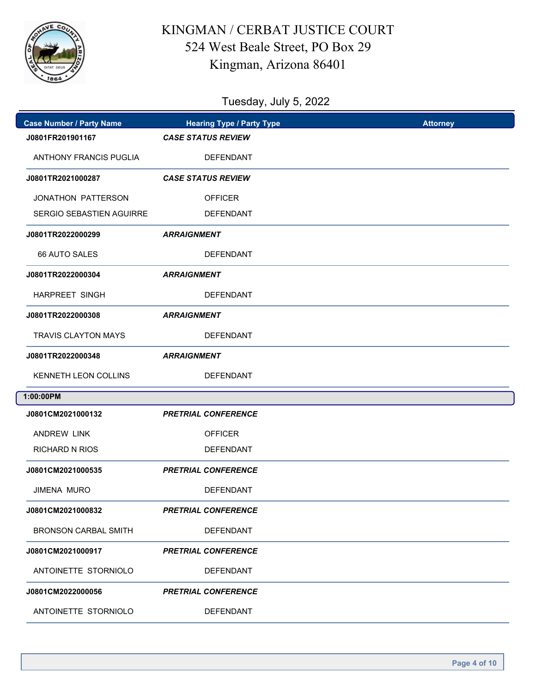

| <b>Case Number / Party Name</b> | <b>Hearing Type / Party Type</b><br><b>Attorney</b> |  |
|---------------------------------|-----------------------------------------------------|--|
| J0801FR201901167                | <b>CASE STATUS REVIEW</b>                           |  |
| <b>ANTHONY FRANCIS PUGLIA</b>   | <b>DEFENDANT</b>                                    |  |
| J0801TR2021000287               | <b>CASE STATUS REVIEW</b>                           |  |
| JONATHON PATTERSON              | <b>OFFICER</b>                                      |  |
| SERGIO SEBASTIEN AGUIRRE        | <b>DEFENDANT</b>                                    |  |
| J0801TR2022000299               | <b>ARRAIGNMENT</b>                                  |  |
| 66 AUTO SALES                   | <b>DEFENDANT</b>                                    |  |
| J0801TR2022000304               | <b>ARRAIGNMENT</b>                                  |  |
| <b>HARPREET SINGH</b>           | <b>DEFENDANT</b>                                    |  |
| J0801TR2022000308               | <b>ARRAIGNMENT</b>                                  |  |
| <b>TRAVIS CLAYTON MAYS</b>      | <b>DEFENDANT</b>                                    |  |
| J0801TR2022000348               | <b>ARRAIGNMENT</b>                                  |  |
| KENNETH LEON COLLINS            | DEFENDANT                                           |  |
| 1:00:00PM                       |                                                     |  |
| J0801CM2021000132               | <b>PRETRIAL CONFERENCE</b>                          |  |
| <b>ANDREW LINK</b>              | <b>OFFICER</b>                                      |  |
| <b>RICHARD N RIOS</b>           | <b>DEFENDANT</b>                                    |  |
| J0801CM2021000535               | <b>PRETRIAL CONFERENCE</b>                          |  |
| <b>JIMENA MURO</b>              | <b>DEFENDANT</b>                                    |  |
| J0801CM2021000832               | <b>PRETRIAL CONFERENCE</b>                          |  |
| <b>BRONSON CARBAL SMITH</b>     | DEFENDANT                                           |  |
| J0801CM2021000917               | <b>PRETRIAL CONFERENCE</b>                          |  |
| ANTOINETTE STORNIOLO            | <b>DEFENDANT</b>                                    |  |
| J0801CM2022000056               | <b>PRETRIAL CONFERENCE</b>                          |  |
| ANTOINETTE STORNIOLO            | DEFENDANT                                           |  |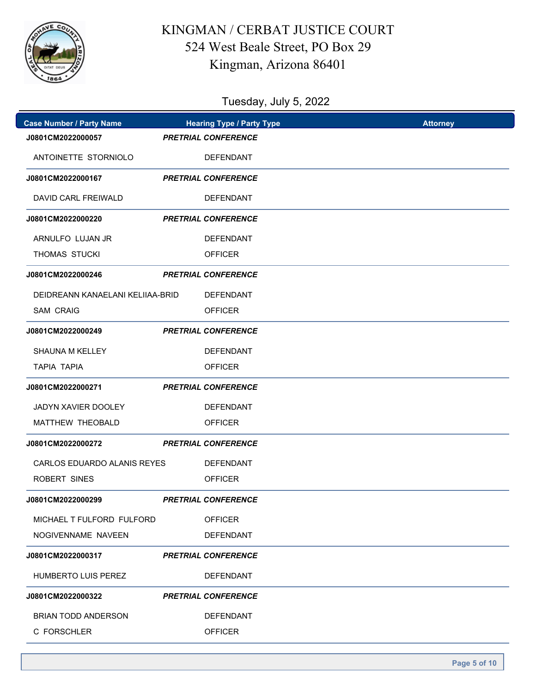

| <b>Case Number / Party Name</b>  | <b>Hearing Type / Party Type</b> | <b>Attorney</b> |
|----------------------------------|----------------------------------|-----------------|
| J0801CM2022000057                | <b>PRETRIAL CONFERENCE</b>       |                 |
| ANTOINETTE STORNIOLO             | <b>DEFENDANT</b>                 |                 |
| J0801CM2022000167                | <b>PRETRIAL CONFERENCE</b>       |                 |
| <b>DAVID CARL FREIWALD</b>       | <b>DEFENDANT</b>                 |                 |
| J0801CM2022000220                | <b>PRETRIAL CONFERENCE</b>       |                 |
| ARNULFO LUJAN JR                 | <b>DEFENDANT</b>                 |                 |
| THOMAS STUCKI                    | <b>OFFICER</b>                   |                 |
| J0801CM2022000246                | <b>PRETRIAL CONFERENCE</b>       |                 |
| DEIDREANN KANAELANI KELIIAA-BRID | <b>DEFENDANT</b>                 |                 |
| <b>SAM CRAIG</b>                 | <b>OFFICER</b>                   |                 |
| J0801CM2022000249                | <b>PRETRIAL CONFERENCE</b>       |                 |
| <b>SHAUNA M KELLEY</b>           | <b>DEFENDANT</b>                 |                 |
| <b>TAPIA TAPIA</b>               | <b>OFFICER</b>                   |                 |
| J0801CM2022000271                | <b>PRETRIAL CONFERENCE</b>       |                 |
| <b>JADYN XAVIER DOOLEY</b>       | <b>DEFENDANT</b>                 |                 |
| <b>MATTHEW THEOBALD</b>          | <b>OFFICER</b>                   |                 |
| J0801CM2022000272                | <b>PRETRIAL CONFERENCE</b>       |                 |
| CARLOS EDUARDO ALANIS REYES      | DEFENDANT                        |                 |
| ROBERT SINES                     | <b>OFFICER</b>                   |                 |
| J0801CM2022000299                | <b>PRETRIAL CONFERENCE</b>       |                 |
| MICHAEL T FULFORD FULFORD        | <b>OFFICER</b>                   |                 |
| NOGIVENNAME NAVEEN               | <b>DEFENDANT</b>                 |                 |
| J0801CM2022000317                | <b>PRETRIAL CONFERENCE</b>       |                 |
| <b>HUMBERTO LUIS PEREZ</b>       | <b>DEFENDANT</b>                 |                 |
| J0801CM2022000322                | <b>PRETRIAL CONFERENCE</b>       |                 |
| <b>BRIAN TODD ANDERSON</b>       | <b>DEFENDANT</b>                 |                 |
| C FORSCHLER                      | <b>OFFICER</b>                   |                 |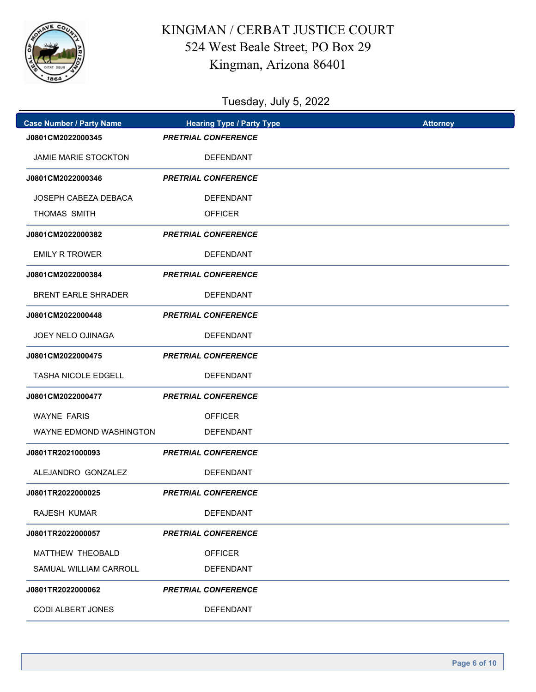

| <b>Case Number / Party Name</b> | <b>Hearing Type / Party Type</b> | <b>Attorney</b> |
|---------------------------------|----------------------------------|-----------------|
| J0801CM2022000345               | <b>PRETRIAL CONFERENCE</b>       |                 |
| JAMIE MARIE STOCKTON            | <b>DEFENDANT</b>                 |                 |
| J0801CM2022000346               | <b>PRETRIAL CONFERENCE</b>       |                 |
| JOSEPH CABEZA DEBACA            | <b>DEFENDANT</b>                 |                 |
| THOMAS SMITH                    | <b>OFFICER</b>                   |                 |
| J0801CM2022000382               | <b>PRETRIAL CONFERENCE</b>       |                 |
| <b>EMILY R TROWER</b>           | <b>DEFENDANT</b>                 |                 |
| J0801CM2022000384               | <b>PRETRIAL CONFERENCE</b>       |                 |
| <b>BRENT EARLE SHRADER</b>      | <b>DEFENDANT</b>                 |                 |
| J0801CM2022000448               | <b>PRETRIAL CONFERENCE</b>       |                 |
| <b>JOEY NELO OJINAGA</b>        | <b>DEFENDANT</b>                 |                 |
| J0801CM2022000475               | <b>PRETRIAL CONFERENCE</b>       |                 |
| <b>TASHA NICOLE EDGELL</b>      | <b>DEFENDANT</b>                 |                 |
| J0801CM2022000477               | <b>PRETRIAL CONFERENCE</b>       |                 |
| <b>WAYNE FARIS</b>              | <b>OFFICER</b>                   |                 |
| WAYNE EDMOND WASHINGTON         | <b>DEFENDANT</b>                 |                 |
| J0801TR2021000093               | <b>PRETRIAL CONFERENCE</b>       |                 |
| ALEJANDRO GONZALEZ              | <b>DEFENDANT</b>                 |                 |
| J0801TR2022000025               | <b>PRETRIAL CONFERENCE</b>       |                 |
| RAJESH KUMAR                    | <b>DEFENDANT</b>                 |                 |
| J0801TR2022000057               | <b>PRETRIAL CONFERENCE</b>       |                 |
| MATTHEW THEOBALD                | <b>OFFICER</b>                   |                 |
| SAMUAL WILLIAM CARROLL          | <b>DEFENDANT</b>                 |                 |
| J0801TR2022000062               | <b>PRETRIAL CONFERENCE</b>       |                 |
| CODI ALBERT JONES               | DEFENDANT                        |                 |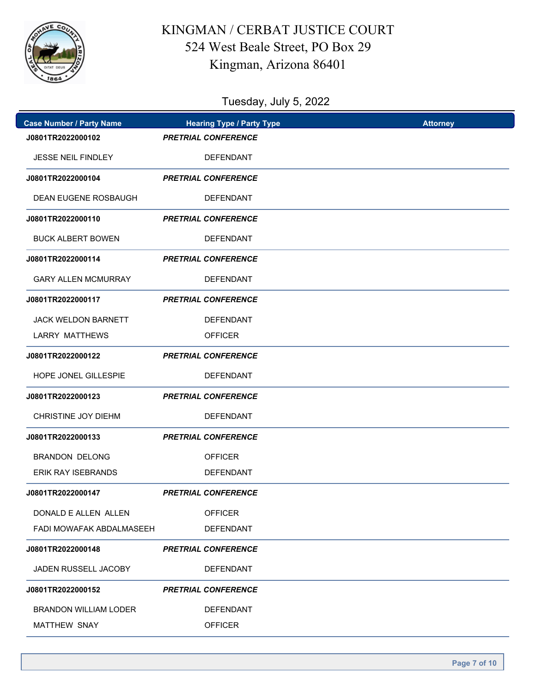

| <b>Case Number / Party Name</b> |                            | <b>Hearing Type / Party Type</b> | <b>Attorney</b> |
|---------------------------------|----------------------------|----------------------------------|-----------------|
| J0801TR2022000102               | <b>PRETRIAL CONFERENCE</b> |                                  |                 |
| JESSE NEIL FINDLEY              |                            | <b>DEFENDANT</b>                 |                 |
| J0801TR2022000104               | <b>PRETRIAL CONFERENCE</b> |                                  |                 |
| <b>DEAN EUGENE ROSBAUGH</b>     |                            | <b>DEFENDANT</b>                 |                 |
| J0801TR2022000110               | <b>PRETRIAL CONFERENCE</b> |                                  |                 |
| <b>BUCK ALBERT BOWEN</b>        |                            | <b>DEFENDANT</b>                 |                 |
| J0801TR2022000114               | <b>PRETRIAL CONFERENCE</b> |                                  |                 |
| <b>GARY ALLEN MCMURRAY</b>      |                            | <b>DEFENDANT</b>                 |                 |
| J0801TR2022000117               | <b>PRETRIAL CONFERENCE</b> |                                  |                 |
| <b>JACK WELDON BARNETT</b>      |                            | <b>DEFENDANT</b>                 |                 |
| LARRY MATTHEWS                  |                            | <b>OFFICER</b>                   |                 |
| J0801TR2022000122               | <b>PRETRIAL CONFERENCE</b> |                                  |                 |
| <b>HOPE JONEL GILLESPIE</b>     |                            | <b>DEFENDANT</b>                 |                 |
| J0801TR2022000123               | <b>PRETRIAL CONFERENCE</b> |                                  |                 |
| <b>CHRISTINE JOY DIEHM</b>      |                            | <b>DEFENDANT</b>                 |                 |
| J0801TR2022000133               | <b>PRETRIAL CONFERENCE</b> |                                  |                 |
| <b>BRANDON DELONG</b>           |                            | <b>OFFICER</b>                   |                 |
| ERIK RAY ISEBRANDS              |                            | <b>DEFENDANT</b>                 |                 |
| J0801TR2022000147               | <b>PRETRIAL CONFERENCE</b> |                                  |                 |
| DONALD E ALLEN ALLEN            |                            | <b>OFFICER</b>                   |                 |
| FADI MOWAFAK ABDALMASEEH        |                            | <b>DEFENDANT</b>                 |                 |
| J0801TR2022000148               | <b>PRETRIAL CONFERENCE</b> |                                  |                 |
| JADEN RUSSELL JACOBY            |                            | <b>DEFENDANT</b>                 |                 |
| J0801TR2022000152               | <b>PRETRIAL CONFERENCE</b> |                                  |                 |
| <b>BRANDON WILLIAM LODER</b>    |                            | <b>DEFENDANT</b>                 |                 |
| MATTHEW SNAY                    |                            | <b>OFFICER</b>                   |                 |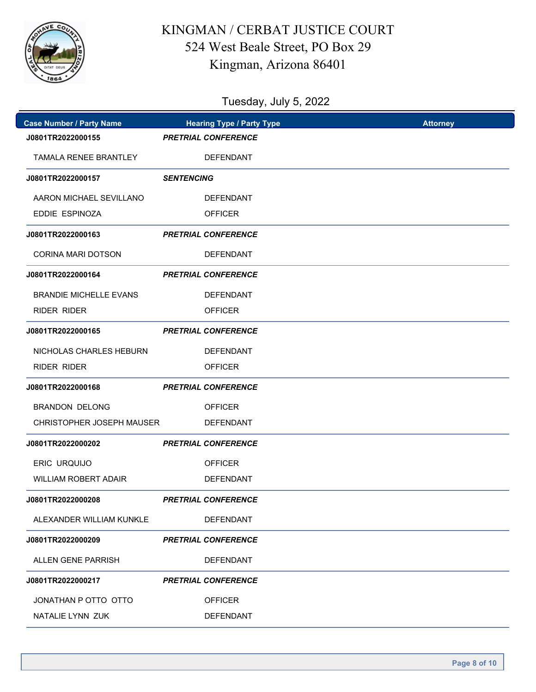

| <b>Case Number / Party Name</b> | <b>Hearing Type / Party Type</b> | <b>Attorney</b> |
|---------------------------------|----------------------------------|-----------------|
| J0801TR2022000155               | <b>PRETRIAL CONFERENCE</b>       |                 |
| TAMALA RENEE BRANTLEY           | <b>DEFENDANT</b>                 |                 |
| J0801TR2022000157               | <b>SENTENCING</b>                |                 |
| AARON MICHAEL SEVILLANO         | <b>DEFENDANT</b>                 |                 |
| EDDIE ESPINOZA                  | <b>OFFICER</b>                   |                 |
| J0801TR2022000163               | <b>PRETRIAL CONFERENCE</b>       |                 |
| <b>CORINA MARI DOTSON</b>       | <b>DEFENDANT</b>                 |                 |
| J0801TR2022000164               | <b>PRETRIAL CONFERENCE</b>       |                 |
| <b>BRANDIE MICHELLE EVANS</b>   | <b>DEFENDANT</b>                 |                 |
| <b>RIDER RIDER</b>              | <b>OFFICER</b>                   |                 |
| J0801TR2022000165               | <b>PRETRIAL CONFERENCE</b>       |                 |
| NICHOLAS CHARLES HEBURN         | <b>DEFENDANT</b>                 |                 |
| <b>RIDER RIDER</b>              | <b>OFFICER</b>                   |                 |
| J0801TR2022000168               | <b>PRETRIAL CONFERENCE</b>       |                 |
| <b>BRANDON DELONG</b>           | <b>OFFICER</b>                   |                 |
| CHRISTOPHER JOSEPH MAUSER       | <b>DEFENDANT</b>                 |                 |
| J0801TR2022000202               | <b>PRETRIAL CONFERENCE</b>       |                 |
| <b>ERIC URQUIJO</b>             | <b>OFFICER</b>                   |                 |
| <b>WILLIAM ROBERT ADAIR</b>     | <b>DEFENDANT</b>                 |                 |
| J0801TR2022000208               | <b>PRETRIAL CONFERENCE</b>       |                 |
| ALEXANDER WILLIAM KUNKLE        | DEFENDANT                        |                 |
| J0801TR2022000209               | <b>PRETRIAL CONFERENCE</b>       |                 |
| ALLEN GENE PARRISH              | DEFENDANT                        |                 |
| J0801TR2022000217               | <b>PRETRIAL CONFERENCE</b>       |                 |
| JONATHAN P OTTO OTTO            | <b>OFFICER</b>                   |                 |
| NATALIE LYNN ZUK                | <b>DEFENDANT</b>                 |                 |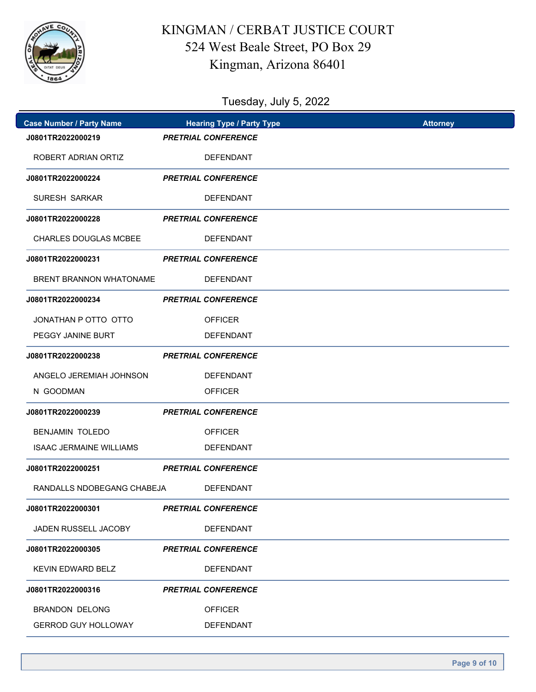

| <b>Case Number / Party Name</b> | <b>Hearing Type / Party Type</b> | <b>Attorney</b> |
|---------------------------------|----------------------------------|-----------------|
| J0801TR2022000219               | <b>PRETRIAL CONFERENCE</b>       |                 |
| ROBERT ADRIAN ORTIZ             | <b>DEFENDANT</b>                 |                 |
| J0801TR2022000224               | <b>PRETRIAL CONFERENCE</b>       |                 |
| <b>SURESH SARKAR</b>            | <b>DEFENDANT</b>                 |                 |
| J0801TR2022000228               | <b>PRETRIAL CONFERENCE</b>       |                 |
| <b>CHARLES DOUGLAS MCBEE</b>    | <b>DEFENDANT</b>                 |                 |
| J0801TR2022000231               | <b>PRETRIAL CONFERENCE</b>       |                 |
| BRENT BRANNON WHATONAME         | <b>DEFENDANT</b>                 |                 |
| J0801TR2022000234               | <b>PRETRIAL CONFERENCE</b>       |                 |
| JONATHAN P OTTO OTTO            | <b>OFFICER</b>                   |                 |
| PEGGY JANINE BURT               | <b>DEFENDANT</b>                 |                 |
| J0801TR2022000238               | <b>PRETRIAL CONFERENCE</b>       |                 |
| ANGELO JEREMIAH JOHNSON         | <b>DEFENDANT</b>                 |                 |
| N GOODMAN                       | <b>OFFICER</b>                   |                 |
| J0801TR2022000239               | <b>PRETRIAL CONFERENCE</b>       |                 |
| <b>BENJAMIN TOLEDO</b>          | <b>OFFICER</b>                   |                 |
| <b>ISAAC JERMAINE WILLIAMS</b>  | <b>DEFENDANT</b>                 |                 |
| J0801TR2022000251               | <b>PRETRIAL CONFERENCE</b>       |                 |
| RANDALLS NDOBEGANG CHABEJA      | <b>DEFENDANT</b>                 |                 |
| J0801TR2022000301               | <b>PRETRIAL CONFERENCE</b>       |                 |
| JADEN RUSSELL JACOBY            | <b>DEFENDANT</b>                 |                 |
| J0801TR2022000305               | <b>PRETRIAL CONFERENCE</b>       |                 |
| KEVIN EDWARD BELZ               | <b>DEFENDANT</b>                 |                 |
| J0801TR2022000316               | <b>PRETRIAL CONFERENCE</b>       |                 |
| <b>BRANDON DELONG</b>           | <b>OFFICER</b>                   |                 |
| <b>GERROD GUY HOLLOWAY</b>      | <b>DEFENDANT</b>                 |                 |